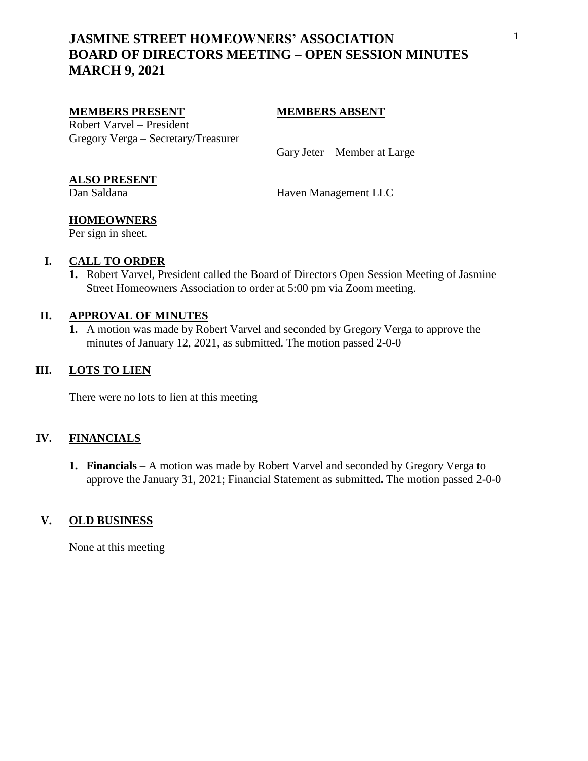# **JASMINE STREET HOMEOWNERS' ASSOCIATION BOARD OF DIRECTORS MEETING – OPEN SESSION MINUTES MARCH 9, 2021**

#### **MEMBERS PRESENT MEMBERS ABSENT**

Robert Varvel – President Gregory Verga – Secretary/Treasurer

Gary Jeter – Member at Large

## **ALSO PRESENT**

Dan Saldana Haven Management LLC

# **HOMEOWNERS**

Per sign in sheet.

## **I. CALL TO ORDER**

**1.** Robert Varvel, President called the Board of Directors Open Session Meeting of Jasmine Street Homeowners Association to order at 5:00 pm via Zoom meeting.

### **II. APPROVAL OF MINUTES**

**1.** A motion was made by Robert Varvel and seconded by Gregory Verga to approve the minutes of January 12, 2021, as submitted. The motion passed 2-0-0

## **III. LOTS TO LIEN**

There were no lots to lien at this meeting

## **IV. FINANCIALS**

**1. Financials** – A motion was made by Robert Varvel and seconded by Gregory Verga to approve the January 31, 2021; Financial Statement as submitted**.** The motion passed 2-0-0

### **V. OLD BUSINESS**

None at this meeting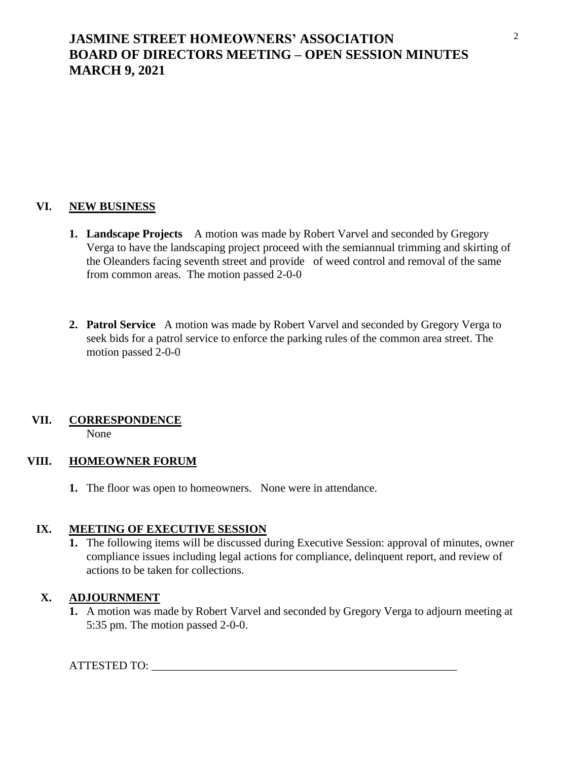# **JASMINE STREET HOMEOWNERS' ASSOCIATION BOARD OF DIRECTORS MEETING – OPEN SESSION MINUTES MARCH 9, 2021**

## **VI. NEW BUSINESS**

- **1. Landscape Projects** A motion was made by Robert Varvel and seconded by Gregory Verga to have the landscaping project proceed with the semiannual trimming and skirting of the Oleanders facing seventh street and provide of weed control and removal of the same from common areas. The motion passed 2-0-0
- **2. Patrol Service** A motion was made by Robert Varvel and seconded by Gregory Verga to seek bids for a patrol service to enforce the parking rules of the common area street. The motion passed 2-0-0

### **VII. CORRESPONDENCE**

None

### **VIII. HOMEOWNER FORUM**

**1.** The floor was open to homeowners. None were in attendance.

### **IX. MEETING OF EXECUTIVE SESSION**

**1.** The following items will be discussed during Executive Session: approval of minutes, owner compliance issues including legal actions for compliance, delinquent report, and review of actions to be taken for collections.

## **X. ADJOURNMENT**

**1.** A motion was made by Robert Varvel and seconded by Gregory Verga to adjourn meeting at 5:35 pm. The motion passed 2-0-0.

### ATTESTED TO: \_\_\_\_\_\_\_\_\_\_\_\_\_\_\_\_\_\_\_\_\_\_\_\_\_\_\_\_\_\_\_\_\_\_\_\_\_\_\_\_\_\_\_\_\_\_\_\_\_\_\_\_\_